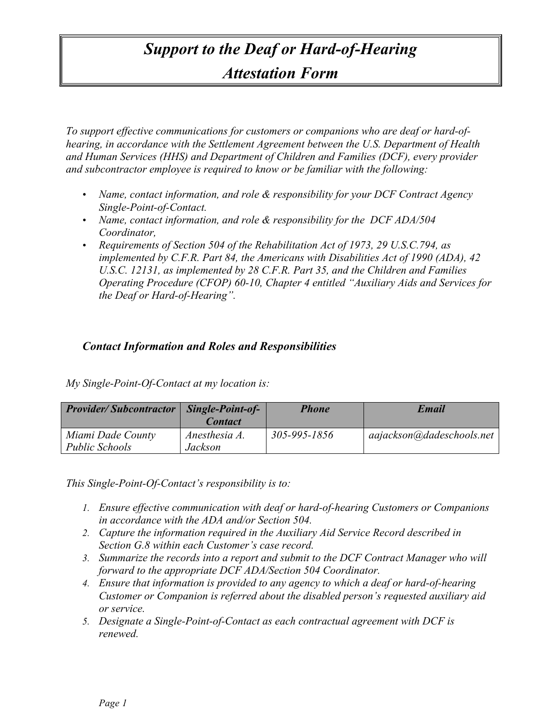## *Support to the Deaf or Hard-of-Hearing Attestation Form*

*To support effective communications for customers or companions who are deaf or hard-ofhearing, in accordance with the Settlement Agreement between the U.S. Department of Health and Human Services (HHS) and Department of Children and Families (DCF), every provider and subcontractor employee is required to know or be familiar with the following:*

- *Name, contact information, and role & responsibility for your DCF Contract Agency Single-Point-of-Contact.*
- *Name, contact information, and role & responsibility for the DCF ADA/504 Coordinator,*
- *Requirements of Section 504 of the Rehabilitation Act of 1973, 29 U.S.C.794, as implemented by C.F.R. Part 84, the Americans with Disabilities Act of 1990 (ADA), 42 U.S.C. 12131, as implemented by 28 C.F.R. Part 35, and the Children and Families Operating Procedure (CFOP) 60-10, Chapter 4 entitled "Auxiliary Aids and Services for the Deaf or Hard-of-Hearing".*

## *Contact Information and Roles and Responsibilities*

*My Single-Point-Of-Contact at my location is:* 

| <b>Provider/Subcontractor</b>              | Single-Point-of-<br><b>Contact</b> | <b>Phone</b> | Email                     |
|--------------------------------------------|------------------------------------|--------------|---------------------------|
| Miami Dade County<br><b>Public Schools</b> | Anesthesia A.<br>Jackson           | 305-995-1856 | aajackson@dadeschools.net |

*This Single-Point-Of-Contact's responsibility is to:*

- *1. Ensure effective communication with deaf or hard-of-hearing Customers or Companions in accordance with the ADA and/or Section 504.*
- *2. Capture the information required in the Auxiliary Aid Service Record described in Section G.8 within each Customer's case record.*
- *3. Summarize the records into a report and submit to the DCF Contract Manager who will forward to the appropriate DCF ADA/Section 504 Coordinator.*
- *4. Ensure that information is provided to any agency to which a deaf or hard-of-hearing Customer or Companion is referred about the disabled person's requested auxiliary aid or service.*
- *5. Designate a Single-Point-of-Contact as each contractual agreement with DCF is renewed.*